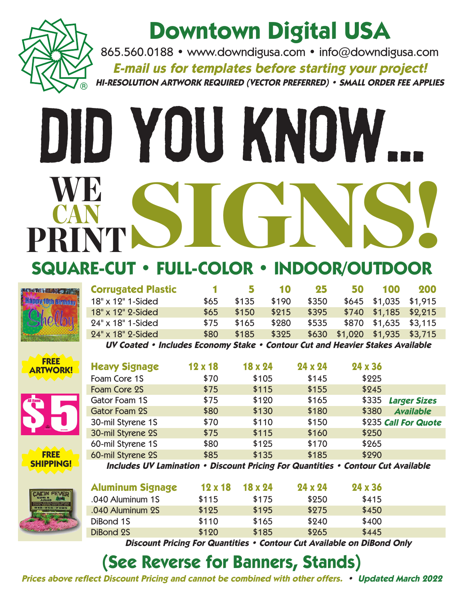## **Downtown Digital USA**

865.560.0188 • www.downdigusa.com • info@downdigusa.com **E-mail us for templates before starting your project! HI-RESOLUTION ARTWORK REQUIRED (VECTOR PREFERRED) • SMALL ORDER FEE APPLIES**

## Did You Know... WE CAN SIGNS! CAN PRINT **SQUARE-CUT • FULL-COLOR • INDOOR/OUTDOOR**

**Happy 10th Bizt** 

| <b>ZEN</b> | <b>Corrugated Plastic</b> |      | 5.    | 10    | 25    | 50                            | 100                   | 200 |
|------------|---------------------------|------|-------|-------|-------|-------------------------------|-----------------------|-----|
|            | 18" x 12" 1-Sided         | \$65 | \$135 | \$190 | \$350 |                               | \$645 \$1,035 \$1,915 |     |
|            | 18" x 12" 2-Sided         | \$65 | \$150 | \$215 | \$395 |                               | \$740 \$1,185 \$2,215 |     |
|            | 24" x 18" 1-Sided         | \$75 | \$165 | \$280 | \$535 |                               | \$870 \$1,635 \$3,115 |     |
|            | 24" x 18" 2-Sided         | \$80 | \$185 | \$325 |       | \$630 \$1,020 \$1,935 \$3,715 |                       |     |

**UV Coated • Includes Economy Stake • Contour Cut and Heavier Stakes Available**

|                                        | <u>UT COALEG • MCJUCHS ECONOMY STAKE • COMOUI CUT AND HEATIEF STAKES ATAMAOIE</u> |                        |                  |                  |                  |                      |  |  |  |
|----------------------------------------|-----------------------------------------------------------------------------------|------------------------|------------------|------------------|------------------|----------------------|--|--|--|
| <b>FREE</b><br><b>ARTWORK!</b><br>AAAA | <b>Heavy Signage</b><br>Foam Core 1S                                              | $12 \times 18$<br>\$70 | 18 x 24<br>\$105 | 24 x 24<br>\$145 | 24 x 36<br>\$225 |                      |  |  |  |
|                                        | Foam Core 2S                                                                      | \$75                   | \$115            | \$155            | \$245            |                      |  |  |  |
|                                        | Gator Foam 1S                                                                     | \$75                   | \$120            | \$165            | \$335            | <b>Larger Sizes</b>  |  |  |  |
|                                        | <b>Gator Foam 2S</b>                                                              | \$80                   | \$130            | \$180            | \$380            | <b>Available</b>     |  |  |  |
|                                        | 30-mil Styrene 1S                                                                 | \$70                   | \$110            | \$150            |                  | \$235 Call For Quote |  |  |  |
|                                        | 30-mil Styrene 2S                                                                 | \$75                   | \$115            | \$160            | \$250            |                      |  |  |  |
|                                        | 60-mil Styrene 1S                                                                 | \$80                   | \$125            | \$170            | \$265            |                      |  |  |  |
| <b>FREE</b>                            | 60-mil Styrene 2S                                                                 | \$85                   | \$135            | \$185            | \$290            |                      |  |  |  |
| <b>SHIPPING!</b>                       | Includes UV Lamination • Discount Pricing For Quantities • Contour Cut Available  |                        |                  |                  |                  |                      |  |  |  |

| <b>Aluminum Signage</b> | $12 \times 18$ | $18 \times 24$ | 24 x 24 | $24 \times 36$ |
|-------------------------|----------------|----------------|---------|----------------|
| .040 Aluminum 1S        | \$115          | \$175          | \$250   | \$415          |
| .040 Aluminum 2S        | \$125          | \$195          | \$275   | \$450          |
| DiBond 1S               | \$110          | \$165          | \$240   | \$400          |
| DiBond 2S               | \$120          | \$185          | \$265   | \$445          |

**Discount Pricing For Quantities • Contour Cut Available on DiBond Only**

#### **(See Reverse for Banners, Stands)**

**Prices above reflect Discount Pricing and cannot be combined with other offers. • Updated March 2022**